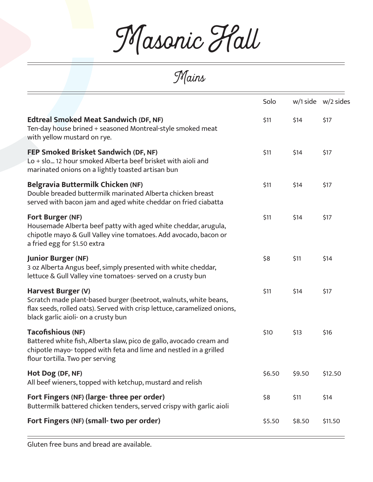Masonic Hall

Mains

|                                                                                                                                                                                                           | Solo   |        | $w/1$ side $w/2$ sides |
|-----------------------------------------------------------------------------------------------------------------------------------------------------------------------------------------------------------|--------|--------|------------------------|
| <b>Edtreal Smoked Meat Sandwich (DF, NF)</b><br>Ten-day house brined + seasoned Montreal-style smoked meat<br>with yellow mustard on rye.                                                                 | \$11   | \$14   | \$17                   |
| FEP Smoked Brisket Sandwich (DF, NF)<br>Lo + slo 12 hour smoked Alberta beef brisket with aioli and<br>marinated onions on a lightly toasted artisan bun                                                  | \$11   | \$14   | \$17                   |
| <b>Belgravia Buttermilk Chicken (NF)</b><br>Double breaded buttermilk marinated Alberta chicken breast<br>served with bacon jam and aged white cheddar on fried ciabatta                                  | \$11   | \$14   | \$17                   |
| <b>Fort Burger (NF)</b><br>Housemade Alberta beef patty with aged white cheddar, arugula,<br>chipotle mayo & Gull Valley vine tomatoes. Add avocado, bacon or<br>a fried egg for \$1.50 extra             | \$11   | \$14   | \$17                   |
| <b>Junior Burger (NF)</b><br>3 oz Alberta Angus beef, simply presented with white cheddar,<br>lettuce & Gull Valley vine tomatoes- served on a crusty bun                                                 | \$8    | \$11   | \$14                   |
| Harvest Burger (V)<br>Scratch made plant-based burger (beetroot, walnuts, white beans,<br>flax seeds, rolled oats). Served with crisp lettuce, caramelized onions,<br>black garlic aioli- on a crusty bun | \$11   | \$14   | \$17                   |
| <b>Tacofishious (NF)</b><br>Battered white fish, Alberta slaw, pico de gallo, avocado cream and<br>chipotle mayo-topped with feta and lime and nestled in a grilled<br>flour tortilla. Two per serving    | \$10   | \$13   | \$16                   |
| Hot Dog (DF, NF)<br>All beef wieners, topped with ketchup, mustard and relish                                                                                                                             | \$6.50 | \$9.50 | \$12.50                |
| Fort Fingers (NF) (large-three per order)<br>Buttermilk battered chicken tenders, served crispy with garlic aioli                                                                                         | \$8    | \$11   | \$14                   |
| Fort Fingers (NF) (small-two per order)                                                                                                                                                                   | \$5.50 | \$8.50 | \$11.50                |
|                                                                                                                                                                                                           |        |        |                        |

Gluten free buns and bread are available.